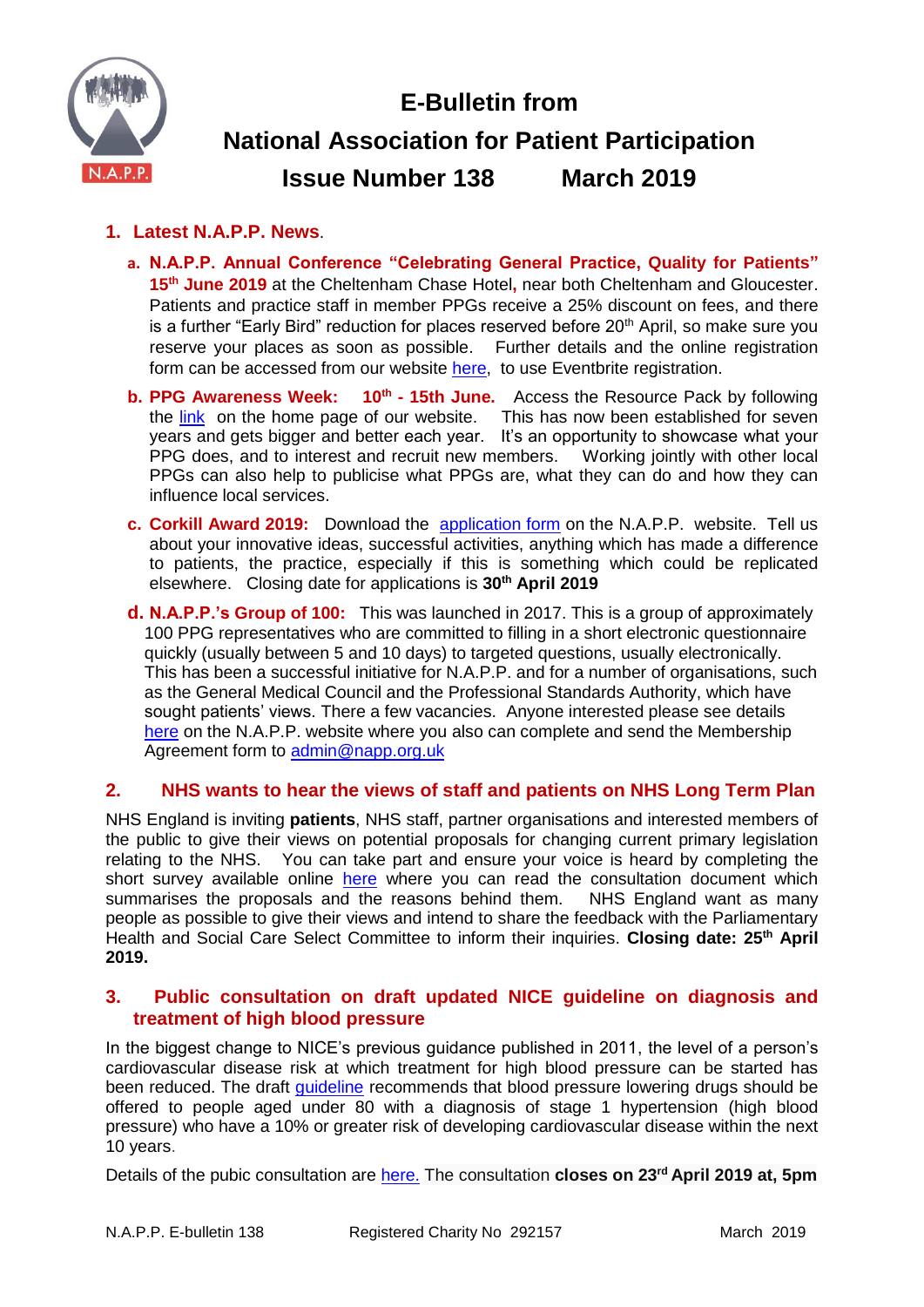

# **E-Bulletin from National Association for Patient Participation Issue Number 138 March 2019**

# **1. Latest N.A.P.P. News**.

- **a. N.A.P.P. Annual Conference "Celebrating General Practice, Quality for Patients" 15th June 2019** at the Cheltenham Chase Hotel**,** near both Cheltenham and Gloucester. Patients and practice staff in member PPGs receive a 25% discount on fees, and there is a further "Early Bird" reduction for places reserved before  $20<sup>th</sup>$  April, so make sure you reserve your places as soon as possible.Further details and the online registration form can be accessed from our website [here,](https://www.eventbrite.co.uk/e/celebrating-general-practice-registration-55399154362) to use Eventbrite registration.
- **b. PPG Awareness Week: 10<sup>th</sup> 15th June.** Access the Resource Pack by following the [link](http://www.napp.org.uk/ppgawarenessweek.html) on the home page of our website. This has now been established for seven years and gets bigger and better each year. It's an opportunity to showcase what your PPG does, and to interest and recruit new members. Working jointly with other local PPGs can also help to publicise what PPGs are, what they can do and how they can influence local services.
- **c. Corkill Award 2019:** Download the [application form](http://www.napp.org.uk/corkill.html) on the N.A.P.P. website. Tell us about your innovative ideas, successful activities, anything which has made a difference to patients, the practice, especially if this is something which could be replicated elsewhere. Closing date for applications is **30th April 2019**
- **d. N.A.P.P.'s Group of 100:** This was launched in 2017. This is a group of approximately 100 PPG representatives who are committed to filling in a short electronic questionnaire quickly (usually between 5 and 10 days) to targeted questions, usually electronically. This has been a successful initiative for N.A.P.P. and for a number of organisations, such as the General Medical Council and the Professional Standards Authority, which have sought patients' views. There a few vacancies. Anyone interested please see details [here](https://www.napp.org.uk/membersonly/groupof100.html) on the N.A.P.P. website where you also can complete and send the Membership Agreement form to [admin@napp.org.uk](mailto:admin@napp.org.uk)

# **2. NHS wants to hear the views of staff and patients on NHS Long Term Plan**

NHS England is inviting **patients**, NHS staff, partner organisations and interested members of the public to give their views on potential proposals for changing current primary legislation relating to the NHS. You can take part and ensure your voice is heard by completing the short survey available online [here](here%20:%20https:/www.engage.england.nhs.uk/survey/nhs-long-term-plan-legislation/) where you can read the consultation document which summarises the proposals and the reasons behind them. NHS England want as many people as possible to give their views and intend to share the feedback with the Parliamentary Health and Social Care Select Committee to inform their inquiries. **Closing date: 25th April 2019.**

#### **3. Public consultation on draft updated NICE guideline on diagnosis and treatment of high blood pressure**

In the biggest change to NICE's previous guidance published in 2011, the level of a person's cardiovascular disease risk at which treatment for high blood pressure can be started has been reduced. The draft [guideline](https://www.nice.org.uk/news/article/thousands-set-to-benefit-from-blood-pressure-treatment-under-new-nice-guidance) recommends that blood pressure lowering drugs should be offered to people aged under 80 with a diagnosis of stage 1 hypertension (high blood pressure) who have a 10% or greater risk of developing cardiovascular disease within the next 10 years.

Details of the pubic consultation are [here.](https://www.nice.org.uk/guidance/indevelopment/gid-ng10054/consultation/html-content-2) The consultation **closes on 23rd April 2019 at, 5pm**